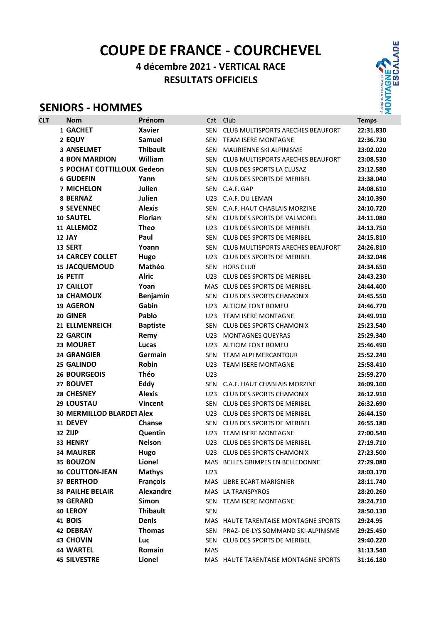# COUPE DE FRANCE - COURCHEVEL

# 4 décembre 2021 - VERTICAL RACE RESULTATS OFFICIELS

# SENIORS - HOMMES



| <b>CLT</b> | <b>Nom</b>                        | Prénom           | Cat        | Club                                 | <b>Temps</b> |
|------------|-----------------------------------|------------------|------------|--------------------------------------|--------------|
|            | 1 GACHET                          | <b>Xavier</b>    | <b>SEN</b> | CLUB MULTISPORTS ARECHES BEAUFORT    | 22:31.830    |
|            | 2 EQUY                            | <b>Samuel</b>    | <b>SEN</b> | <b>TEAM ISERE MONTAGNE</b>           | 22:36.730    |
|            | <b>3 ANSELMET</b>                 | <b>Thibault</b>  | <b>SEN</b> | MAURIENNE SKI ALPINISME              | 23:02.020    |
|            | <b>4 BON MARDION</b>              | William          | SEN        | CLUB MULTISPORTS ARECHES BEAUFORT    | 23:08.530    |
|            | <b>5 POCHAT COTTILLOUX Gedeon</b> |                  | <b>SEN</b> | CLUB DES SPORTS LA CLUSAZ            | 23:12.580    |
|            | <b>6 GUDEFIN</b>                  | Yann             | <b>SEN</b> | <b>CLUB DES SPORTS DE MERIBEL</b>    | 23:38.040    |
|            | <b>7 MICHELON</b>                 | Julien           | SEN        | C.A.F. GAP                           | 24:08.610    |
|            | 8 BERNAZ                          | Julien           |            | U23 C.A.F. DU LEMAN                  | 24:10.390    |
|            | <b>9 SEVENNEC</b>                 | <b>Alexis</b>    | <b>SEN</b> | C.A.F. HAUT CHABLAIS MORZINE         | 24:10.720    |
|            | <b>10 SAUTEL</b>                  | <b>Florian</b>   | <b>SEN</b> | CLUB DES SPORTS DE VALMOREL          | 24:11.080    |
|            | 11 ALLEMOZ                        | <b>Theo</b>      | U23        | <b>CLUB DES SPORTS DE MERIBEL</b>    | 24:13.750    |
|            | 12 JAY                            | Paul             | SEN        | <b>CLUB DES SPORTS DE MERIBEL</b>    | 24:15.810    |
|            | 13 SERT                           | Yoann            | SEN        | CLUB MULTISPORTS ARECHES BEAUFORT    | 24:26.810    |
|            | <b>14 CARCEY COLLET</b>           | Hugo             | U23        | <b>CLUB DES SPORTS DE MERIBEL</b>    | 24:32.048    |
|            | <b>15 JACQUEMOUD</b>              | Mathéo           | <b>SEN</b> | <b>HORS CLUB</b>                     | 24:34.650    |
|            | 16 PETIT                          | <b>Alric</b>     | U23        | <b>CLUB DES SPORTS DE MERIBEL</b>    | 24:43.230    |
|            | <b>17 CAILLOT</b>                 | Yoan             |            | MAS CLUB DES SPORTS DE MERIBEL       | 24:44.400    |
|            | <b>18 CHAMOUX</b>                 | <b>Benjamin</b>  | SEN        | <b>CLUB DES SPORTS CHAMONIX</b>      | 24:45.550    |
|            | <b>19 AGERON</b>                  | Gabin            |            | U23 ALTICIM FONT ROMEU               | 24:46.770    |
|            | 20 GINER                          | Pablo            |            | U23 TEAM ISERE MONTAGNE              | 24:49.910    |
|            | <b>21 ELLMENREICH</b>             | <b>Baptiste</b>  | SEN        | <b>CLUB DES SPORTS CHAMONIX</b>      | 25:23.540    |
|            | 22 GARCIN                         | Remy             | U23        | <b>MONTAGNES QUEYRAS</b>             | 25:29.340    |
|            | 23 MOURET                         | Lucas            |            | U23 ALTICIM FONT ROMEU               | 25:46.490    |
|            | <b>24 GRANGIER</b>                | Germain          | <b>SEN</b> | TEAM ALPI MERCANTOUR                 | 25:52.240    |
|            | 25 GALINDO                        | Robin            | U23        | <b>TEAM ISERE MONTAGNE</b>           | 25:58.410    |
|            | <b>26 BOURGEOIS</b>               | Théo             | U23        |                                      | 25:59.270    |
|            | 27 BOUVET                         | Eddy             | SEN        | C.A.F. HAUT CHABLAIS MORZINE         | 26:09.100    |
|            | 28 CHESNEY                        | <b>Alexis</b>    |            | U23 CLUB DES SPORTS CHAMONIX         | 26:12.910    |
|            | <b>29 LOUSTAU</b>                 | <b>Vincent</b>   | <b>SEN</b> | <b>CLUB DES SPORTS DE MERIBEL</b>    | 26:32.690    |
|            | <b>30 MERMILLOD BLARDET Alex</b>  |                  | U23        | <b>CLUB DES SPORTS DE MERIBEL</b>    | 26:44.150    |
|            | 31 DEVEY                          | Chanse           | SEN        | CLUB DES SPORTS DE MERIBEL           | 26:55.180    |
|            | 32 ZIJP                           | Quentin          |            | U23 TEAM ISERE MONTAGNE              | 27:00.540    |
|            | 33 HENRY                          | <b>Nelson</b>    |            | U23 CLUB DES SPORTS DE MERIBEL       | 27:19.710    |
|            | <b>34 MAURER</b>                  | Hugo             |            | U23 CLUB DES SPORTS CHAMONIX         | 27:23.500    |
|            | 35 BOUZON                         | Lionel           |            | MAS BELLES GRIMPES EN BELLEDONNE     | 27:29.080    |
|            | <b>36 COUTTON-JEAN</b>            | <b>Mathys</b>    | U23        |                                      | 28:03.170    |
|            | <b>37 BERTHOD</b>                 | François         |            | MAS LIBRE ECART MARIGNIER            | 28:11.740    |
|            | <b>38 PAILHE BELAIR</b>           | <b>Alexandre</b> |            | MAS LA TRANSPYROS                    | 28:20.260    |
|            | <b>39 GERARD</b>                  | Simon            | <b>SEN</b> | <b>TEAM ISERE MONTAGNE</b>           | 28:24.710    |
|            | <b>40 LEROY</b>                   | <b>Thibault</b>  | <b>SEN</b> |                                      | 28:50.130    |
|            | 41 BOIS                           | <b>Denis</b>     |            | MAS HAUTE TARENTAISE MONTAGNE SPORTS | 29:24.95     |
|            | <b>42 DEBRAY</b>                  | <b>Thomas</b>    | SEN        | PRAZ- DE-LYS SOMMAND SKI-ALPINISME   | 29:25.450    |
|            | <b>43 CHOVIN</b>                  | Luc              | SEN        | <b>CLUB DES SPORTS DE MERIBEL</b>    | 29:40.220    |
|            | <b>44 WARTEL</b>                  | Romain           | MAS        |                                      | 31:13.540    |
|            | <b>45 SILVESTRE</b>               | Lionel           |            | MAS HAUTE TARENTAISE MONTAGNE SPORTS | 31:16.180    |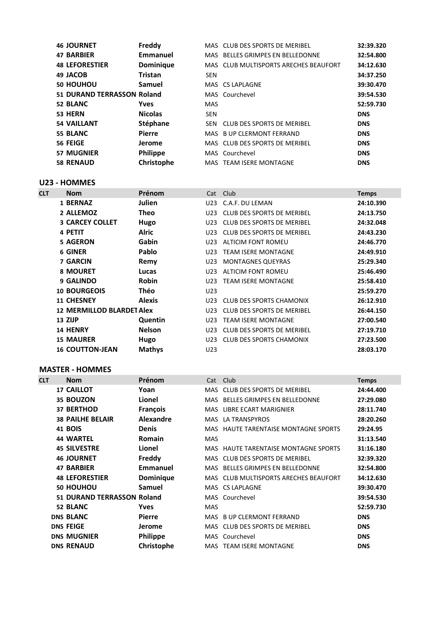| <b>46 JOURNET</b>          | Freddy           |            | MAS CLUB DES SPORTS DE MERIBEL        | 32:39.320  |
|----------------------------|------------------|------------|---------------------------------------|------------|
| <b>47 BARBIER</b>          | Emmanuel         |            | MAS BELLES GRIMPES EN BELLEDONNE      | 32:54.800  |
| <b>48 LEFORESTIER</b>      | <b>Dominique</b> |            | MAS CLUB MULTISPORTS ARECHES BEAUFORT | 34:12.630  |
| 49 JACOB                   | <b>Tristan</b>   | <b>SEN</b> |                                       | 34:37.250  |
| 50 HOUHOU                  | Samuel           |            | MAS CS LAPLAGNE                       | 39:30.470  |
| 51 DURAND TERRASSON Roland |                  |            | MAS Courchevel                        | 39:54.530  |
| 52 BLANC                   | <b>Yves</b>      | <b>MAS</b> |                                       | 52:59.730  |
| 53 HERN                    | <b>Nicolas</b>   | <b>SEN</b> |                                       | <b>DNS</b> |
| <b>54 VAILLANT</b>         | Stéphane         | SEN.       | CLUB DES SPORTS DE MERIBEL            | <b>DNS</b> |
| 55 BLANC                   | <b>Pierre</b>    |            | MAS B UP CLERMONT FERRAND             | <b>DNS</b> |
| 56 FEIGE                   | Jerome           |            | MAS CLUB DES SPORTS DE MERIBEL        | <b>DNS</b> |
| <b>57 MUGNIER</b>          | <b>Philippe</b>  |            | MAS Courchevel                        | <b>DNS</b> |
| <b>58 RENAUD</b>           | Christophe       |            | MAS TEAM ISERE MONTAGNE               | <b>DNS</b> |

U23 - HOMMES

| <b>CLT</b> | <b>Nom</b>                       | Prénom        |                 | Cat Club                        | <b>Temps</b> |
|------------|----------------------------------|---------------|-----------------|---------------------------------|--------------|
|            | 1 BERNAZ                         | Julien        | U23             | C.A.F. DU LEMAN                 | 24:10.390    |
|            | 2 ALLEMOZ                        | Theo          | U23             | CLUB DES SPORTS DE MERIBEL      | 24:13.750    |
|            | <b>3 CARCEY COLLET</b>           | Hugo          | U23             | CLUB DES SPORTS DE MERIBEL      | 24:32.048    |
|            | 4 PETIT                          | Alric         | U23             | CLUB DES SPORTS DE MERIBEL      | 24:43.230    |
|            | <b>5 AGERON</b>                  | Gabin         | U23             | ALTICIM FONT ROMEU              | 24:46.770    |
|            | <b>6 GINER</b>                   | Pablo         | U23             | <b>TEAM ISERE MONTAGNE</b>      | 24:49.910    |
|            | <b>7 GARCIN</b>                  | Remy          | U23             | <b>MONTAGNES QUEYRAS</b>        | 25:29.340    |
|            | 8 MOURET                         | Lucas         | U <sub>23</sub> | ALTICIM FONT ROMEU              | 25:46.490    |
|            | 9 GALINDO                        | <b>Robin</b>  | U23             | <b>TEAM ISERE MONTAGNE</b>      | 25:58.410    |
|            | <b>10 BOURGEOIS</b>              | Théo          | U23             |                                 | 25:59.270    |
|            | <b>11 CHESNEY</b>                | <b>Alexis</b> | U23             | CLUB DES SPORTS CHAMONIX        | 26:12.910    |
|            | <b>12 MERMILLOD BLARDET Alex</b> |               | U23             | CLUB DES SPORTS DE MERIBEL      | 26:44.150    |
|            | 13 ZIJP                          | Quentin       | U23             | <b>TEAM ISERE MONTAGNE</b>      | 27:00.540    |
|            | 14 HENRY                         | <b>Nelson</b> | U23             | CLUB DES SPORTS DE MERIBEL      | 27:19.710    |
|            | <b>15 MAURER</b>                 | Hugo          | U23             | <b>CLUB DES SPORTS CHAMONIX</b> | 27:23.500    |
|            | <b>16 COUTTON-JEAN</b>           | <b>Mathys</b> | U23             |                                 | 28:03.170    |

#### MASTER - HOMMES

| <b>CLT</b> | <b>Nom</b>                 | Prénom           | Cat Club   |                                       | <b>Temps</b> |
|------------|----------------------------|------------------|------------|---------------------------------------|--------------|
|            | <b>17 CAILLOT</b>          | Yoan             | MAS.       | <b>CLUB DES SPORTS DE MERIBEL</b>     | 24:44.400    |
|            | 35 BOUZON                  | Lionel           |            | MAS BELLES GRIMPES EN BELLEDONNE      | 27:29.080    |
|            | <b>37 BERTHOD</b>          | <b>François</b>  |            | MAS LIBRE ECART MARIGNIER             | 28:11.740    |
|            | <b>38 PAILHE BELAIR</b>    | <b>Alexandre</b> |            | MAS LA TRANSPYROS                     | 28:20.260    |
|            | <b>41 BOIS</b>             | <b>Denis</b>     |            | MAS HAUTE TARENTAISE MONTAGNE SPORTS  | 29:24.95     |
|            | <b>44 WARTEL</b>           | <b>Romain</b>    | <b>MAS</b> |                                       | 31:13.540    |
|            | <b>45 SILVESTRE</b>        | Lionel           |            | MAS HAUTE TARENTAISE MONTAGNE SPORTS  | 31:16.180    |
|            | <b>46 JOURNET</b>          | Freddy           |            | MAS CLUB DES SPORTS DE MERIBEL        | 32:39.320    |
|            | <b>47 BARBIER</b>          | Emmanuel         |            | MAS BELLES GRIMPES EN BELLEDONNE      | 32:54.800    |
|            | <b>48 LEFORESTIER</b>      | <b>Dominique</b> |            | MAS CLUB MULTISPORTS ARECHES BEAUFORT | 34:12.630    |
|            | 50 HOUHOU                  | <b>Samuel</b>    |            | MAS CS LAPLAGNE                       | 39:30.470    |
|            | 51 DURAND TERRASSON Roland |                  |            | MAS Courchevel                        | 39:54.530    |
|            | 52 BLANC                   | <b>Yves</b>      | <b>MAS</b> |                                       | 52:59.730    |
|            | <b>DNS BLANC</b>           | <b>Pierre</b>    |            | MAS B UP CLERMONT FERRAND             | <b>DNS</b>   |
|            | <b>DNS FEIGE</b>           | Jerome           |            | MAS CLUB DES SPORTS DE MERIBEL        | <b>DNS</b>   |
|            | <b>DNS MUGNIER</b>         | Philippe         |            | MAS Courchevel                        | <b>DNS</b>   |
|            | <b>DNS RENAUD</b>          | Christophe       |            | MAS TEAM ISERE MONTAGNE               | <b>DNS</b>   |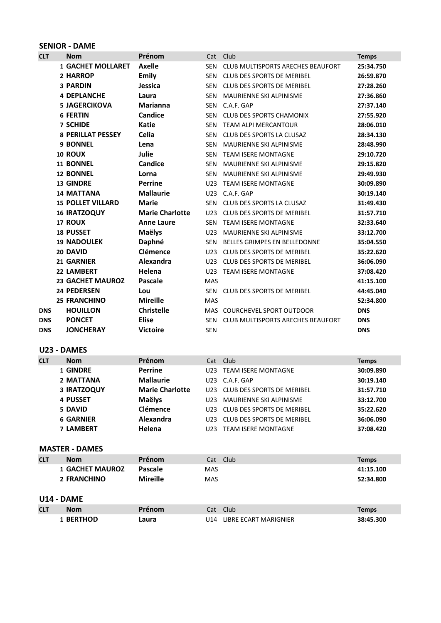### SENIOR - DAME

| <b>CLT</b> | <b>Nom</b>               | Prénom                 | Cat             | Club                              | <b>Temps</b> |
|------------|--------------------------|------------------------|-----------------|-----------------------------------|--------------|
|            | <b>1 GACHET MOLLARET</b> | <b>Axelle</b>          | <b>SEN</b>      | CLUB MULTISPORTS ARECHES BEAUFORT | 25:34.750    |
|            | 2 HARROP                 | Emily                  | <b>SEN</b>      | CLUB DES SPORTS DE MERIBEL        | 26:59.870    |
|            | <b>3 PARDIN</b>          | Jessica                | <b>SEN</b>      | <b>CLUB DES SPORTS DE MERIBEL</b> | 27:28.260    |
|            | <b>4 DEPLANCHE</b>       | Laura                  | <b>SEN</b>      | MAURIENNE SKI ALPINISME           | 27:36.860    |
|            | <b>5 JAGERCIKOVA</b>     | <b>Marianna</b>        | SEN             | C.A.F. GAP                        | 27:37.140    |
|            | <b>6 FERTIN</b>          | Candice                | <b>SEN</b>      | <b>CLUB DES SPORTS CHAMONIX</b>   | 27:55.920    |
|            | <b>7 SCHIDE</b>          | <b>Katie</b>           | <b>SEN</b>      | <b>TEAM ALPI MERCANTOUR</b>       | 28:06.010    |
|            | <b>8 PERILLAT PESSEY</b> | Celia                  | <b>SEN</b>      | CLUB DES SPORTS LA CLUSAZ         | 28:34.130    |
|            | <b>9 BONNEL</b>          | Lena                   | <b>SEN</b>      | <b>MAURIENNE SKI ALPINISME</b>    | 28:48.990    |
|            | 10 ROUX                  | <b>Julie</b>           | <b>SEN</b>      | <b>TEAM ISERE MONTAGNE</b>        | 29:10.720    |
|            | <b>11 BONNEL</b>         | Candice                | <b>SEN</b>      | MAURIENNE SKI ALPINISME           | 29:15.820    |
|            | <b>12 BONNEL</b>         | Lorna                  | <b>SEN</b>      | MAURIENNE SKI ALPINISME           | 29:49.930    |
|            | <b>13 GINDRE</b>         | <b>Perrine</b>         | U <sub>23</sub> | <b>TEAM ISERE MONTAGNE</b>        | 30:09.890    |
|            | <b>14 MATTANA</b>        | <b>Mallaurie</b>       |                 | U23 C.A.F. GAP                    | 30:19.140    |
|            | <b>15 POLLET VILLARD</b> | <b>Marie</b>           | <b>SEN</b>      | CLUB DES SPORTS LA CLUSAZ         | 31:49.430    |
|            | <b>16 IRATZOQUY</b>      | <b>Marie Charlotte</b> | U23             | CLUB DES SPORTS DE MERIBEL        | 31:57.710    |
|            | 17 ROUX                  | <b>Anne Laure</b>      | <b>SEN</b>      | <b>TEAM ISERE MONTAGNE</b>        | 32:33.640    |
|            | <b>18 PUSSET</b>         | Maëlys                 | U <sub>23</sub> | MAURIENNE SKI ALPINISME           | 33:12.700    |
|            | <b>19 NADOULEK</b>       | Daphné                 | <b>SEN</b>      | BELLES GRIMPES EN BELLEDONNE      | 35:04.550    |
|            | 20 DAVID                 | Clémence               | U <sub>23</sub> | CLUB DES SPORTS DE MERIBEL        | 35:22.620    |
|            | <b>21 GARNIER</b>        | Alexandra              | U23             | <b>CLUB DES SPORTS DE MERIBEL</b> | 36:06.090    |
|            | 22 LAMBERT               | Helena                 | U23             | <b>TEAM ISERE MONTAGNE</b>        | 37:08.420    |
|            | <b>23 GACHET MAUROZ</b>  | Pascale                | <b>MAS</b>      |                                   | 41:15.100    |
|            | <b>24 PEDERSEN</b>       | Lou                    | <b>SEN</b>      | <b>CLUB DES SPORTS DE MERIBEL</b> | 44:45.040    |
|            | <b>25 FRANCHINO</b>      | <b>Mireille</b>        | <b>MAS</b>      |                                   | 52:34.800    |
| <b>DNS</b> | <b>HOUILLON</b>          | <b>Christelle</b>      |                 | MAS COURCHEVEL SPORT OUTDOOR      | <b>DNS</b>   |
| <b>DNS</b> | <b>PONCET</b>            | <b>Elise</b>           | <b>SEN</b>      | CLUB MULTISPORTS ARECHES BEAUFORT | <b>DNS</b>   |
| <b>DNS</b> | <b>JONCHERAY</b>         | <b>Victoire</b>        | <b>SEN</b>      |                                   | <b>DNS</b>   |

#### U23 - DAMES

| <b>CLT</b> | <b>Nom</b>       | Prénom                 | Cat Club |                            | <b>Temps</b> |
|------------|------------------|------------------------|----------|----------------------------|--------------|
|            | 1 GINDRE         | <b>Perrine</b>         | U23.     | <b>TEAM ISERE MONTAGNE</b> | 30:09.890    |
|            | 2 MATTANA        | <b>Mallaurie</b>       | U23.     | C.A.F. GAP                 | 30:19.140    |
|            | 3 IRATZOQUY      | <b>Marie Charlotte</b> | l 123.   | CLUB DES SPORTS DE MERIBEL | 31:57.710    |
|            | <b>4 PUSSET</b>  | <b>Maëlys</b>          | U23      | MAURIENNE SKI ALPINISME    | 33:12.700    |
|            | 5 DAVID          | Clémence               | 1123.    | CLUB DES SPORTS DE MERIBEL | 35:22.620    |
|            | <b>6 GARNIER</b> | Alexandra              | 1123.    | CLUB DES SPORTS DE MERIBEL | 36:06.090    |
|            | <b>7 LAMBERT</b> | Helena                 | 1123.    | <b>TEAM ISERE MONTAGNE</b> | 37:08.420    |

## MASTER - DAMES

| <b>CLT</b>        | <b>Nom</b>             | Prénom          |            | Cat Club | <b>Temps</b> |  |
|-------------------|------------------------|-----------------|------------|----------|--------------|--|
|                   | <b>1 GACHET MAUROZ</b> | Pascale         | <b>MAS</b> |          | 41:15.100    |  |
|                   | 2 FRANCHINO            | <b>Mireille</b> | <b>MAS</b> |          | 52:34.800    |  |
|                   |                        |                 |            |          |              |  |
| <b>U14 - DAME</b> |                        |                 |            |          |              |  |
| <b>CLT</b>        | <b>Nom</b>             | Prénom          |            | Cat Club | <b>Temps</b> |  |
|                   |                        |                 |            |          |              |  |

| <b>CLT</b> | <b>Nom</b>     | Prénom | Cat | Club                  | Temps     |
|------------|----------------|--------|-----|-----------------------|-----------|
|            | <b>BERTHOD</b> | Laura  | J14 | LIBRE ECART MARIGNIER | 38:45.300 |